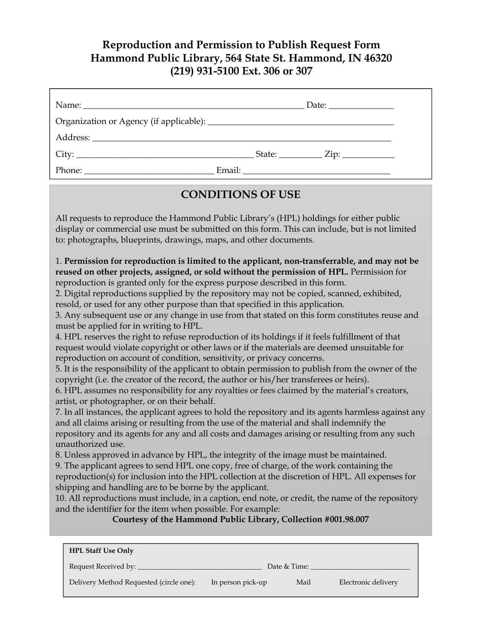## **Reproduction and Permission to Publish Request Form Hammond Public Library, 564 State St. Hammond, IN 46320 (219) 931-5100 Ext. 306 or 307**

|  | Date: $\frac{1}{\sqrt{1-\frac{1}{2}}}\frac{1}{\sqrt{1-\frac{1}{2}}}\frac{1}{\sqrt{1-\frac{1}{2}}}\frac{1}{\sqrt{1-\frac{1}{2}}}\frac{1}{\sqrt{1-\frac{1}{2}}}\frac{1}{\sqrt{1-\frac{1}{2}}}\frac{1}{\sqrt{1-\frac{1}{2}}}\frac{1}{\sqrt{1-\frac{1}{2}}}\frac{1}{\sqrt{1-\frac{1}{2}}}\frac{1}{\sqrt{1-\frac{1}{2}}}\frac{1}{\sqrt{1-\frac{1}{2}}}\frac{1}{\sqrt{1-\frac{1}{2}}}\frac{1}{\sqrt{1-\frac{1}{2}}}\frac{1}{\$ |
|--|--------------------------------------------------------------------------------------------------------------------------------------------------------------------------------------------------------------------------------------------------------------------------------------------------------------------------------------------------------------------------------------------------------------------------|
|  |                                                                                                                                                                                                                                                                                                                                                                                                                          |
|  |                                                                                                                                                                                                                                                                                                                                                                                                                          |
|  | $\text{State:}$ $\text{Zip:}$                                                                                                                                                                                                                                                                                                                                                                                            |
|  |                                                                                                                                                                                                                                                                                                                                                                                                                          |

### **CONDITIONS OF USE**

All requests to reproduce the Hammond Public Library's (HPL) holdings for either public display or commercial use must be submitted on this form. This can include, but is not limited to: photographs, blueprints, drawings, maps, and other documents.

1. **Permission for reproduction is limited to the applicant, non-transferrable, and may not be reused on other projects, assigned, or sold without the permission of HPL.** Permission for reproduction is granted only for the express purpose described in this form.

2. Digital reproductions supplied by the repository may not be copied, scanned, exhibited, resold, or used for any other purpose than that specified in this application.

3. Any subsequent use or any change in use from that stated on this form constitutes reuse and must be applied for in writing to HPL.

4. HPL reserves the right to refuse reproduction of its holdings if it feels fulfillment of that request would violate copyright or other laws or if the materials are deemed unsuitable for reproduction on account of condition, sensitivity, or privacy concerns.

5. It is the responsibility of the applicant to obtain permission to publish from the owner of the copyright (i.e. the creator of the record, the author or his/her transferees or heirs).

6. HPL assumes no responsibility for any royalties or fees claimed by the material's creators, artist, or photographer, or on their behalf.

7. In all instances, the applicant agrees to hold the repository and its agents harmless against any and all claims arising or resulting from the use of the material and shall indemnify the repository and its agents for any and all costs and damages arising or resulting from any such unauthorized use.

8. Unless approved in advance by HPL, the integrity of the image must be maintained.

9. The applicant agrees to send HPL one copy, free of charge, of the work containing the

reproduction(s) for inclusion into the HPL collection at the discretion of HPL. All expenses for shipping and handling are to be borne by the applicant.

10. All reproductions must include, in a caption, end note, or credit, the name of the repository and the identifier for the item when possible. For example:

#### **Courtesy of the Hammond Public Library, Collection #001.98.007**

| <b>HPL Staff Use Only</b>               |                   |              |                     |
|-----------------------------------------|-------------------|--------------|---------------------|
| Request Received by: ___                |                   | Date & Time: |                     |
| Delivery Method Requested (circle one): | In person pick-up | Mail         | Electronic delivery |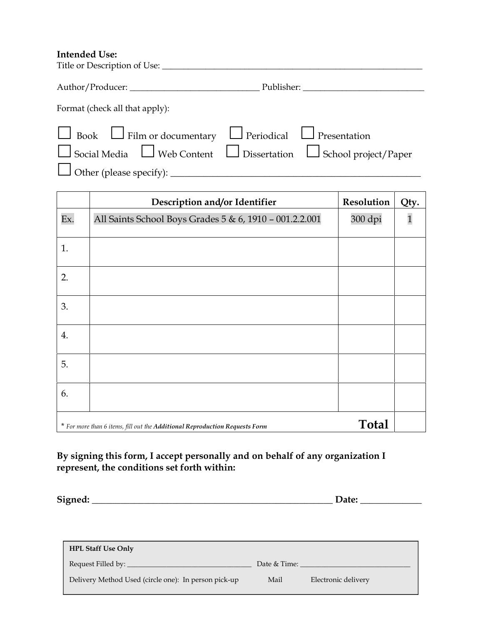#### **Intended Use:**

| Format (check all that apply):                                               |                                                                                        |
|------------------------------------------------------------------------------|----------------------------------------------------------------------------------------|
| $\Box$ Book $\Box$ Film or documentary $\Box$ Periodical $\Box$ Presentation |                                                                                        |
|                                                                              | $\Box$ Social Media $\Box$ Web Content $\Box$ Dissertation $\Box$ School project/Paper |
|                                                                              |                                                                                        |

|     | Description and/or Identifier                                               | Resolution   | Qty.         |
|-----|-----------------------------------------------------------------------------|--------------|--------------|
| Ex. | All Saints School Boys Grades 5 & 6, 1910 - 001.2.2.001                     | 300 dpi      | $\mathbf{1}$ |
| 1.  |                                                                             |              |              |
| 2.  |                                                                             |              |              |
| 3.  |                                                                             |              |              |
| 4.  |                                                                             |              |              |
| 5.  |                                                                             |              |              |
| 6.  |                                                                             |              |              |
|     | * For more than 6 items, fill out the Additional Reproduction Requests Form | <b>Total</b> |              |

#### **By signing this form, I accept personally and on behalf of any organization I represent, the conditions set forth within:**

**Signed: \_\_\_\_\_\_\_\_\_\_\_\_\_\_\_\_\_\_\_\_\_\_\_\_\_\_\_\_\_\_\_\_\_\_\_\_\_\_\_\_\_\_\_\_\_\_\_\_\_\_\_ Date: \_\_\_\_\_\_\_\_\_\_\_\_\_**

| <b>HPL Staff Use Only</b>                            |              |                     |
|------------------------------------------------------|--------------|---------------------|
| Request Filled by:                                   | Date & Time: |                     |
| Delivery Method Used (circle one): In person pick-up | Mail         | Electronic delivery |
|                                                      |              |                     |